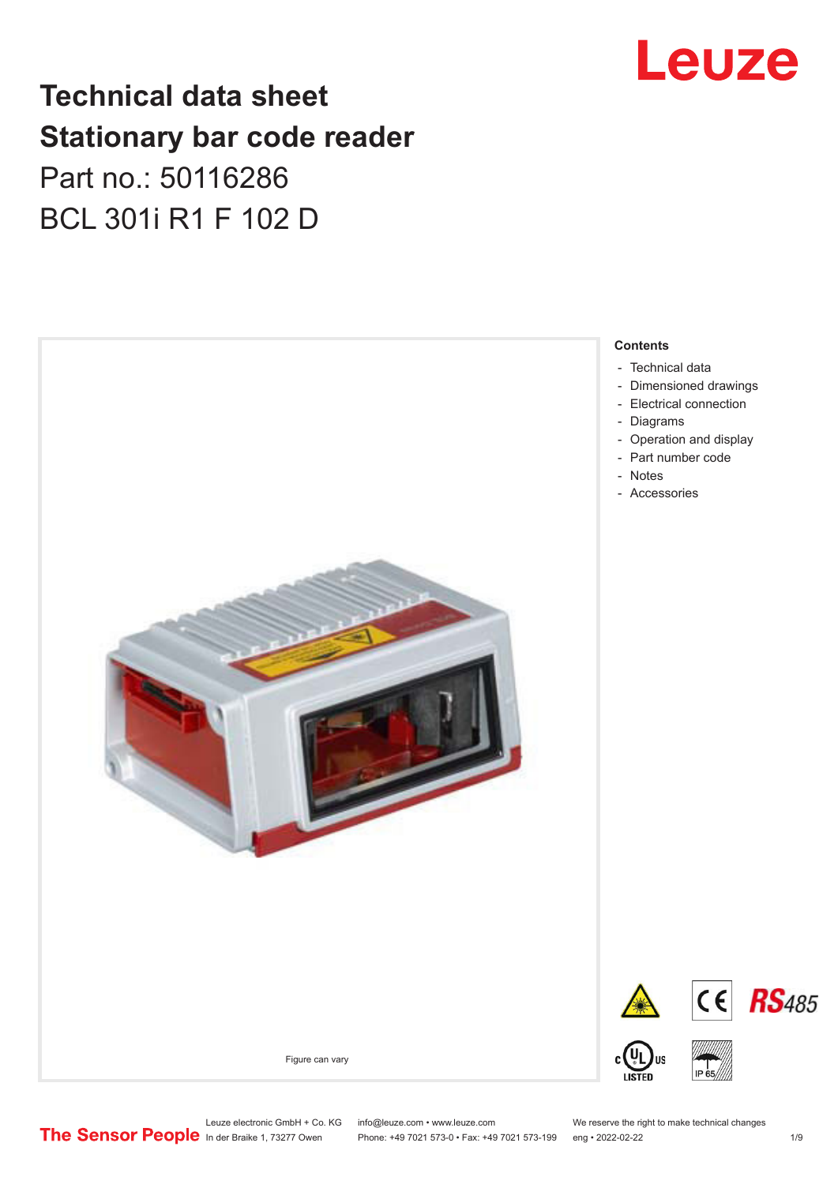# Leuze

## **Technical data sheet Stationary bar code reader** Part no.: 50116286 BCL 301i R1 F 102 D



Leuze electronic GmbH + Co. KG info@leuze.com • www.leuze.com We reserve the right to make technical changes<br>
The Sensor People in der Braike 1, 73277 Owen Phone: +49 7021 573-0 • Fax: +49 7021 573-199 eng • 2022-02-22 Phone: +49 7021 573-0 • Fax: +49 7021 573-199 eng • 2022-02-22 1 /9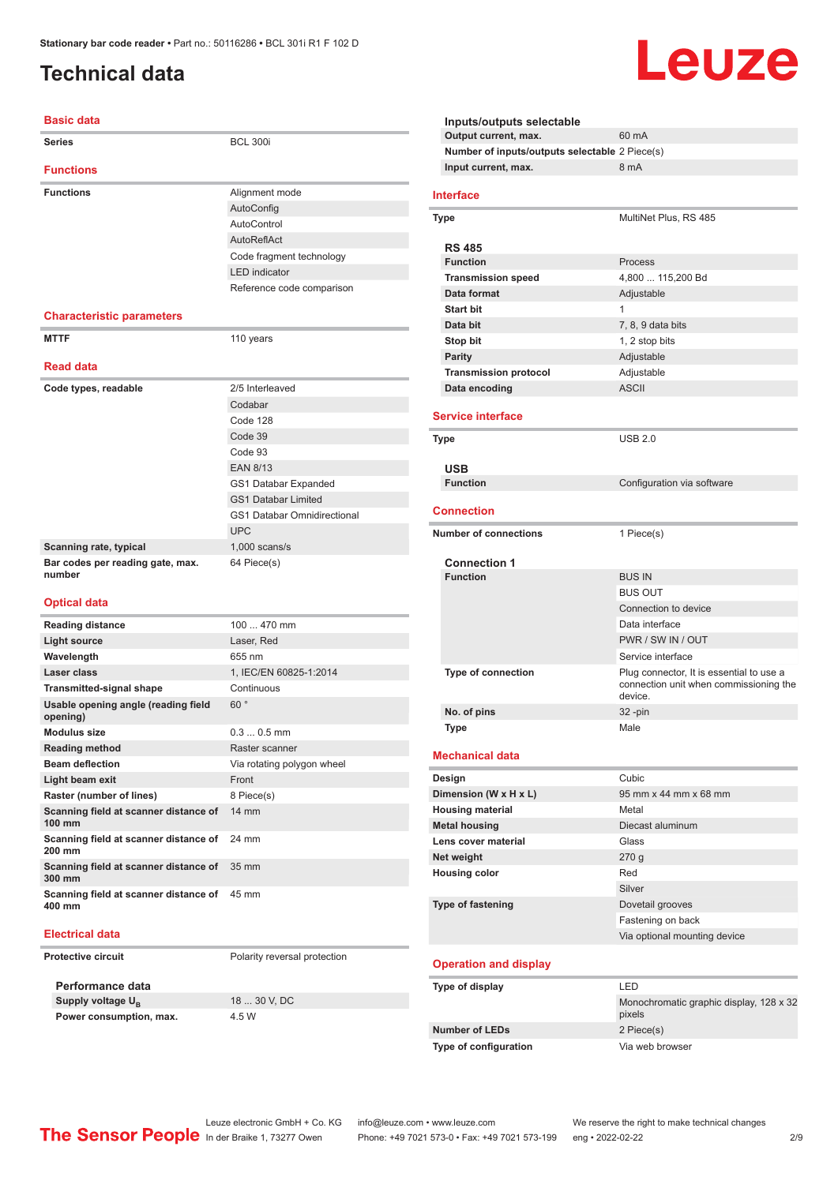#### <span id="page-1-0"></span>**Technical data**

#### **Basic data**

| Series                                          | <b>BCL 300i</b>                    |  |
|-------------------------------------------------|------------------------------------|--|
| <b>Functions</b>                                |                                    |  |
| <b>Functions</b>                                | Alignment mode                     |  |
|                                                 | AutoConfig                         |  |
|                                                 | <b>AutoControl</b>                 |  |
|                                                 | AutoReflAct                        |  |
|                                                 | Code fragment technology           |  |
|                                                 | <b>LED</b> indicator               |  |
|                                                 | Reference code comparison          |  |
|                                                 |                                    |  |
| <b>Characteristic parameters</b>                |                                    |  |
| <b>MTTF</b>                                     | 110 years                          |  |
| <b>Read data</b>                                |                                    |  |
| Code types, readable                            | 2/5 Interleaved                    |  |
|                                                 | Codabar                            |  |
|                                                 | Code 128                           |  |
|                                                 | Code 39                            |  |
|                                                 | Code 93                            |  |
|                                                 | <b>EAN 8/13</b>                    |  |
|                                                 | GS1 Databar Expanded               |  |
|                                                 | <b>GS1 Databar Limited</b>         |  |
|                                                 | <b>GS1 Databar Omnidirectional</b> |  |
|                                                 | <b>UPC</b>                         |  |
| Scanning rate, typical                          | $1,000$ scans/s                    |  |
| Bar codes per reading gate, max.<br>number      | 64 Piece(s)                        |  |
| <b>Optical data</b>                             |                                    |  |
| <b>Reading distance</b>                         | 100  470 mm                        |  |
| <b>Light source</b>                             | Laser, Red                         |  |
| Wavelength                                      | 655 nm                             |  |
| Laser class                                     | 1. IEC/EN 60825-1:2014             |  |
| <b>Transmitted-signal shape</b>                 | Continuous                         |  |
| Usable opening angle (reading field<br>opening) | 60°                                |  |
| <b>Modulus size</b>                             | $0.30.5$ mm                        |  |
| <b>Reading method</b>                           | Raster scanner                     |  |
| <b>Beam deflection</b>                          | Via rotating polygon wheel         |  |
| Light beam exit                                 | Front                              |  |
| Raster (number of lines)                        | 8 Piece(s)                         |  |
| Scanning field at scanner distance of<br>100 mm | 14 mm                              |  |
| Scanning field at scanner distance of<br>200 mm | 24 mm                              |  |
| Scanning field at scanner distance of<br>300 mm | 35 mm                              |  |
| Scanning field at scanner distance of           | 45 mm                              |  |

#### **Electrical data**

**400 mm**

**Protective circuit** Polarity reversal protection

**Performance data Supply voltage U<sub>B</sub> Power consumption, max.** 4.5 W

18 30 V, DC

**Inputs/outputs selectable Output current, max.** 60 mA **Number of inputs/outputs selectable** 2 Piece(s) **Input current, max.** 8 mA **Interface Type** MultiNet Plus, RS 485 **RS 485 Function** Process **Transmission speed** 4,800 ... 115,200 Bd **Data format** Adjustable **Start bit** 1 **Data bit** 7, 8, 9 data bits **Stop bit** 1, 2 stop bits **Parity** Adjustable **Transmission protocol** Adjustable **Data encoding** ASCII **Service interface Type** USB 2.0 **USB Configuration** via software **Connection Number of connections** 1 Piece(s) **Connection 1 Function** BUS IN BUS OUT Connection to device Data interface PWR / SW IN / OUT Service interface **Type of connection** Plug connector, It is essential to use a connection unit when commissioning the device. **No. of pins** 32 -pin **Type Male Mechanical data Design Cubic Dimension (W x H x L)** 95 mm x 44 mm x 68 mm **Housing material** Metal **Metal housing Diecast aluminum Lens cover material Class Net weight** 270 g **Housing color** Red Silver **Type of fastening** Dovetail grooves Fastening on back Via optional mounting device **Operation and display Type of display** LED

Leuze

#### Monochromatic graphic display, 128 x 32 pixels **Number of LEDs** 2 Piece(s) **Type of configuration** Via web browser

Leuze electronic GmbH + Co. KG info@leuze.com • www.leuze.com We reserve the right to make technical changes<br>
The Sensor People in der Braike 1, 73277 Owen Phone: +49 7021 573-0 • Fax: +49 7021 573-199 eng • 2022-02-22 Phone: +49 7021 573-0 • Fax: +49 7021 573-199 eng • 2022-02-22 2 2/9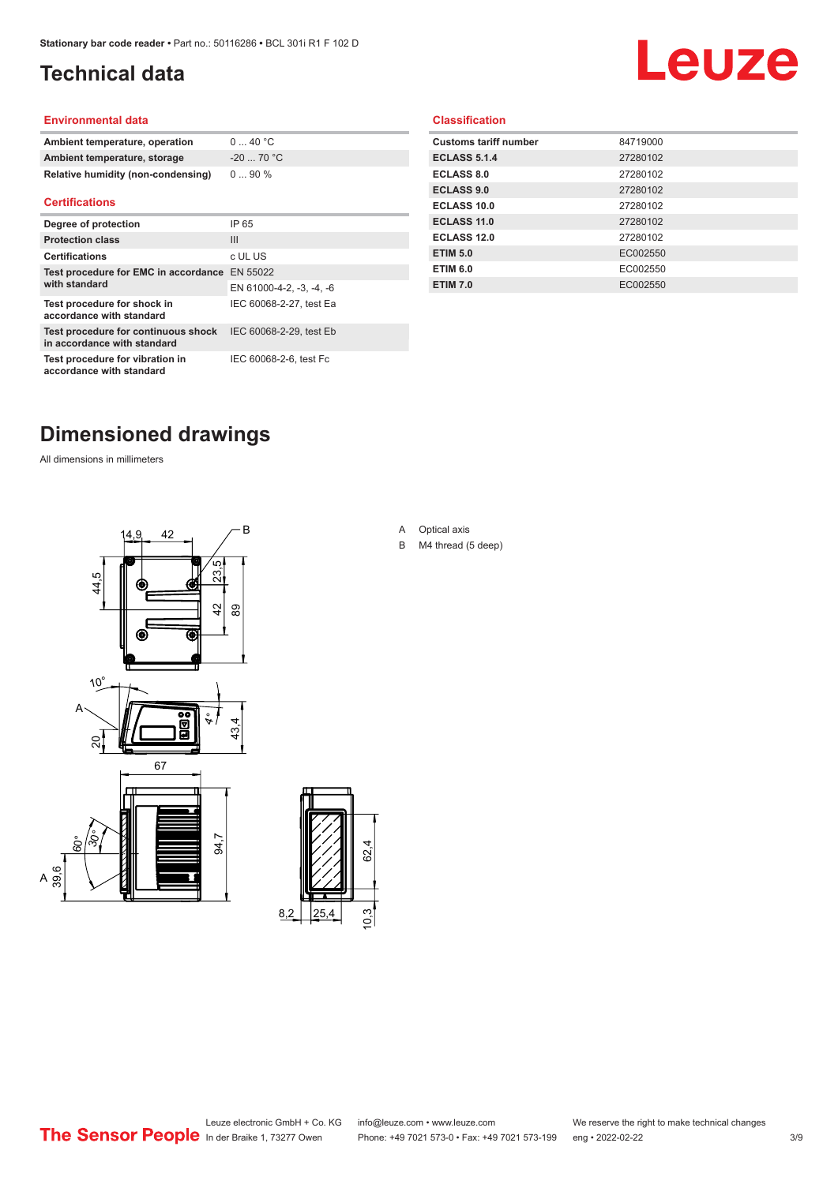## <span id="page-2-0"></span>**Technical data**

# Leuze

#### **Environmental data**

| Ambient temperature, operation     | 0  40 °C   |
|------------------------------------|------------|
| Ambient temperature, storage       | $-2070 °C$ |
| Relative humidity (non-condensing) | $090\%$    |

#### **Certifications**

| Degree of protection                                               | IP 65                    |
|--------------------------------------------------------------------|--------------------------|
| <b>Protection class</b>                                            | Ш                        |
| <b>Certifications</b>                                              | c UL US                  |
| Test procedure for EMC in accordance                               | EN 55022                 |
| with standard                                                      | EN 61000-4-2, -3, -4, -6 |
| Test procedure for shock in<br>accordance with standard            | IEC 60068-2-27, test Ea  |
| Test procedure for continuous shock<br>in accordance with standard | IEC 60068-2-29, test Eb  |
| Test procedure for vibration in<br>accordance with standard        | IEC 60068-2-6, test Fc   |

#### **Classification**

| <b>Customs tariff number</b> | 84719000 |
|------------------------------|----------|
| <b>ECLASS 5.1.4</b>          | 27280102 |
| <b>ECLASS 8.0</b>            | 27280102 |
| <b>ECLASS 9.0</b>            | 27280102 |
| ECLASS 10.0                  | 27280102 |
| ECLASS 11.0                  | 27280102 |
| ECLASS 12.0                  | 27280102 |
| <b>ETIM 5.0</b>              | EC002550 |
| <b>ETIM 6.0</b>              | EC002550 |
| <b>ETIM 7.0</b>              | EC002550 |
|                              |          |

#### **Dimensioned drawings**

All dimensions in millimeters





#### A Optical axis

B M4 thread (5 deep)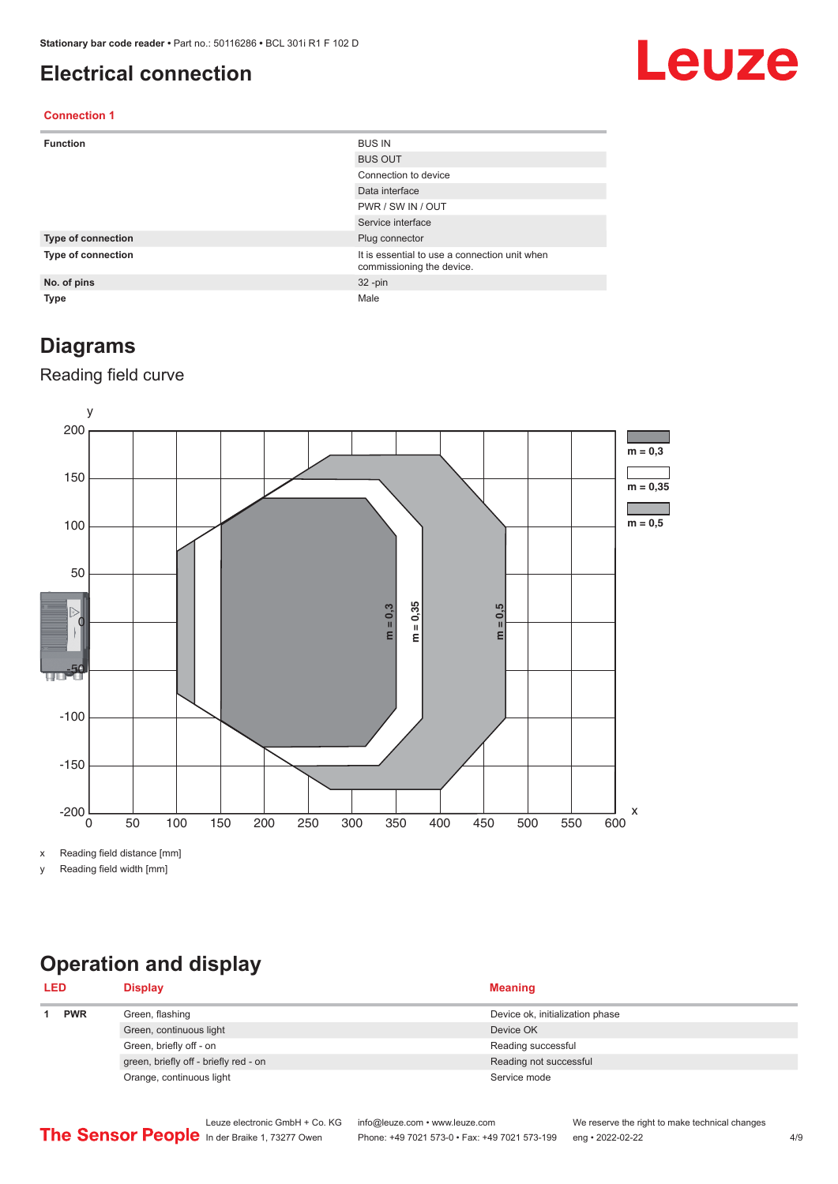#### <span id="page-3-0"></span>**Electrical connection**

# Leuze

#### **Connection 1**

| <b>Function</b>    | <b>BUS IN</b>                                                              |
|--------------------|----------------------------------------------------------------------------|
|                    | <b>BUS OUT</b>                                                             |
|                    | Connection to device                                                       |
|                    | Data interface                                                             |
|                    | PWR / SW IN / OUT                                                          |
|                    | Service interface                                                          |
| Type of connection | Plug connector                                                             |
| Type of connection | It is essential to use a connection unit when<br>commissioning the device. |
| No. of pins        | $32 - pin$                                                                 |
| <b>Type</b>        | Male                                                                       |

#### **Diagrams**

#### Reading field curve



x Reading field distance [mm]

y Reading field width [mm]

## **Operation and display**

| <b>LED</b> |  | <b>Display</b>                        | <b>Meaning</b>                  |
|------------|--|---------------------------------------|---------------------------------|
| <b>PWR</b> |  | Green, flashing                       | Device ok, initialization phase |
|            |  | Green, continuous light               | Device OK                       |
|            |  | Green, briefly off - on               | Reading successful              |
|            |  | green, briefly off - briefly red - on | Reading not successful          |
|            |  | Orange, continuous light              | Service mode                    |
|            |  |                                       |                                 |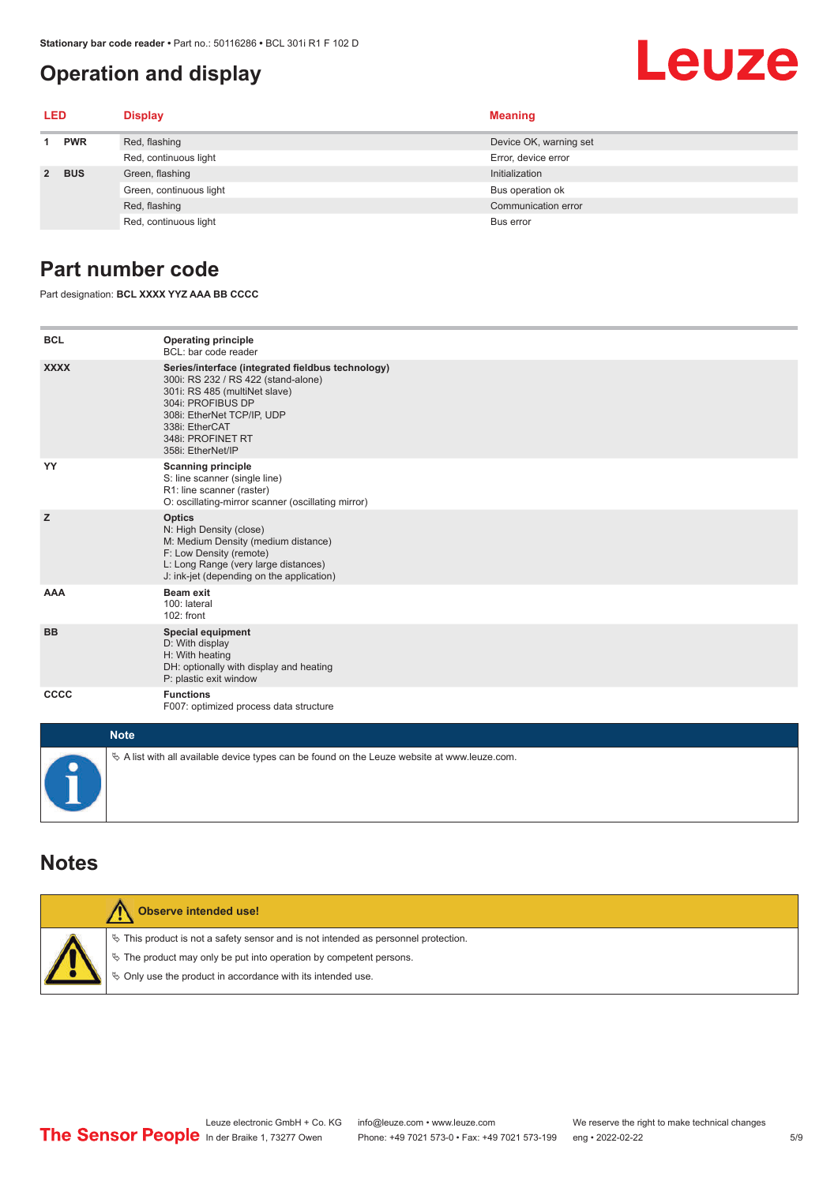#### <span id="page-4-0"></span>**Operation and display**

# Leuze

| LED         |            | <b>Display</b>          | <b>Meaning</b>         |
|-------------|------------|-------------------------|------------------------|
| <b>PWR</b>  |            | Red, flashing           | Device OK, warning set |
|             |            | Red, continuous light   | Error, device error    |
| $2^{\circ}$ | <b>BUS</b> | Green, flashing         | Initialization         |
|             |            | Green, continuous light | Bus operation ok       |
|             |            | Red, flashing           | Communication error    |
|             |            | Red, continuous light   | Bus error              |

#### **Part number code**

Part designation: **BCL XXXX YYZ AAA BB CCCC**

| <b>BCL</b>  | <b>Operating principle</b><br>BCL: bar code reader                                                                                                                                                                                       |
|-------------|------------------------------------------------------------------------------------------------------------------------------------------------------------------------------------------------------------------------------------------|
| <b>XXXX</b> | Series/interface (integrated fieldbus technology)<br>300i: RS 232 / RS 422 (stand-alone)<br>301i: RS 485 (multiNet slave)<br>304i: PROFIBUS DP<br>308i: EtherNet TCP/IP, UDP<br>338i: EtherCAT<br>348i: PROFINET RT<br>358i: EtherNet/IP |
| YY          | <b>Scanning principle</b><br>S: line scanner (single line)<br>R1: line scanner (raster)<br>O: oscillating-mirror scanner (oscillating mirror)                                                                                            |
| z           | <b>Optics</b><br>N: High Density (close)<br>M: Medium Density (medium distance)<br>F: Low Density (remote)<br>L: Long Range (very large distances)<br>J: ink-jet (depending on the application)                                          |
| <b>AAA</b>  | <b>Beam exit</b><br>100: lateral<br>102: front                                                                                                                                                                                           |
| <b>BB</b>   | <b>Special equipment</b><br>D: With display<br>H: With heating<br>DH: optionally with display and heating<br>P: plastic exit window                                                                                                      |
| CCCC        | <b>Functions</b><br>F007: optimized process data structure                                                                                                                                                                               |
| $1.1 - 4.1$ |                                                                                                                                                                                                                                          |

| <b>Note</b>                                                                                  |
|----------------------------------------------------------------------------------------------|
| % A list with all available device types can be found on the Leuze website at www.leuze.com. |

#### **Notes**

| Observe intended use!                                                                                                                                                                                                      |
|----------------------------------------------------------------------------------------------------------------------------------------------------------------------------------------------------------------------------|
| $\%$ This product is not a safety sensor and is not intended as personnel protection.<br>₹ The product may only be put into operation by competent persons.<br>♦ Only use the product in accordance with its intended use. |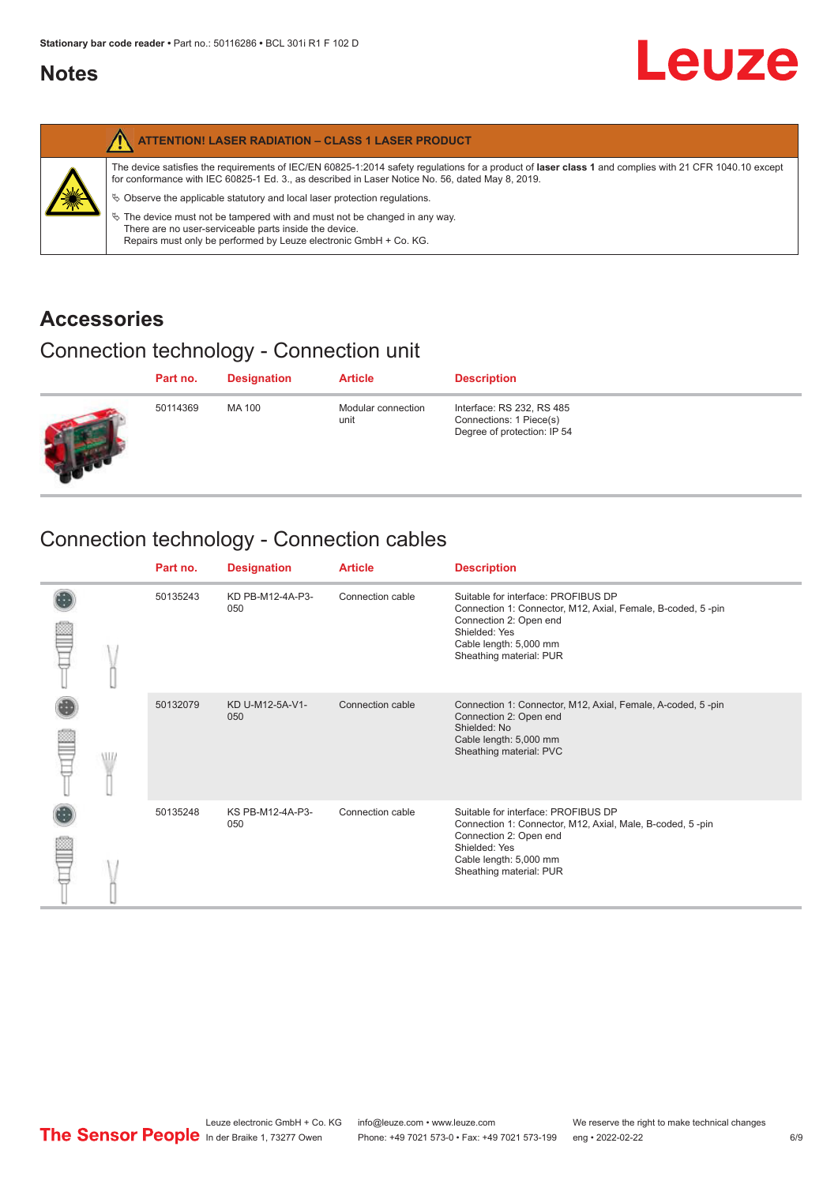#### <span id="page-5-0"></span>**Notes**

|   | <b>ATTENTION! LASER RADIATION - CLASS 1 LASER PRODUCT</b>                                                                                                                                                                                                                                                                                                                                                                                                                                                                                                   |
|---|-------------------------------------------------------------------------------------------------------------------------------------------------------------------------------------------------------------------------------------------------------------------------------------------------------------------------------------------------------------------------------------------------------------------------------------------------------------------------------------------------------------------------------------------------------------|
| 纂 | The device satisfies the requirements of IEC/EN 60825-1:2014 safety regulations for a product of laser class 1 and complies with 21 CFR 1040.10 except<br>for conformance with IEC 60825-1 Ed. 3., as described in Laser Notice No. 56, dated May 8, 2019.<br>$\&$ Observe the applicable statutory and local laser protection regulations.<br>$\%$ The device must not be tampered with and must not be changed in any way.<br>There are no user-serviceable parts inside the device.<br>Repairs must only be performed by Leuze electronic GmbH + Co. KG. |

#### **Accessories**

#### Connection technology - Connection unit

| Part no. | <b>Designation</b> | <b>Article</b>             | <b>Description</b>                                                                  |
|----------|--------------------|----------------------------|-------------------------------------------------------------------------------------|
| 50114369 | MA 100             | Modular connection<br>unit | Interface: RS 232, RS 485<br>Connections: 1 Piece(s)<br>Degree of protection: IP 54 |

## Connection technology - Connection cables

|   | Part no. | <b>Designation</b>      | <b>Article</b>   | <b>Description</b>                                                                                                                                                                                 |
|---|----------|-------------------------|------------------|----------------------------------------------------------------------------------------------------------------------------------------------------------------------------------------------------|
|   | 50135243 | KD PB-M12-4A-P3-<br>050 | Connection cable | Suitable for interface: PROFIBUS DP<br>Connection 1: Connector, M12, Axial, Female, B-coded, 5-pin<br>Connection 2: Open end<br>Shielded: Yes<br>Cable length: 5,000 mm<br>Sheathing material: PUR |
| W | 50132079 | KD U-M12-5A-V1-<br>050  | Connection cable | Connection 1: Connector, M12, Axial, Female, A-coded, 5-pin<br>Connection 2: Open end<br>Shielded: No<br>Cable length: 5,000 mm<br>Sheathing material: PVC                                         |
|   | 50135248 | KS PB-M12-4A-P3-<br>050 | Connection cable | Suitable for interface: PROFIBUS DP<br>Connection 1: Connector, M12, Axial, Male, B-coded, 5-pin<br>Connection 2: Open end<br>Shielded: Yes<br>Cable length: 5,000 mm<br>Sheathing material: PUR   |

**Leuze**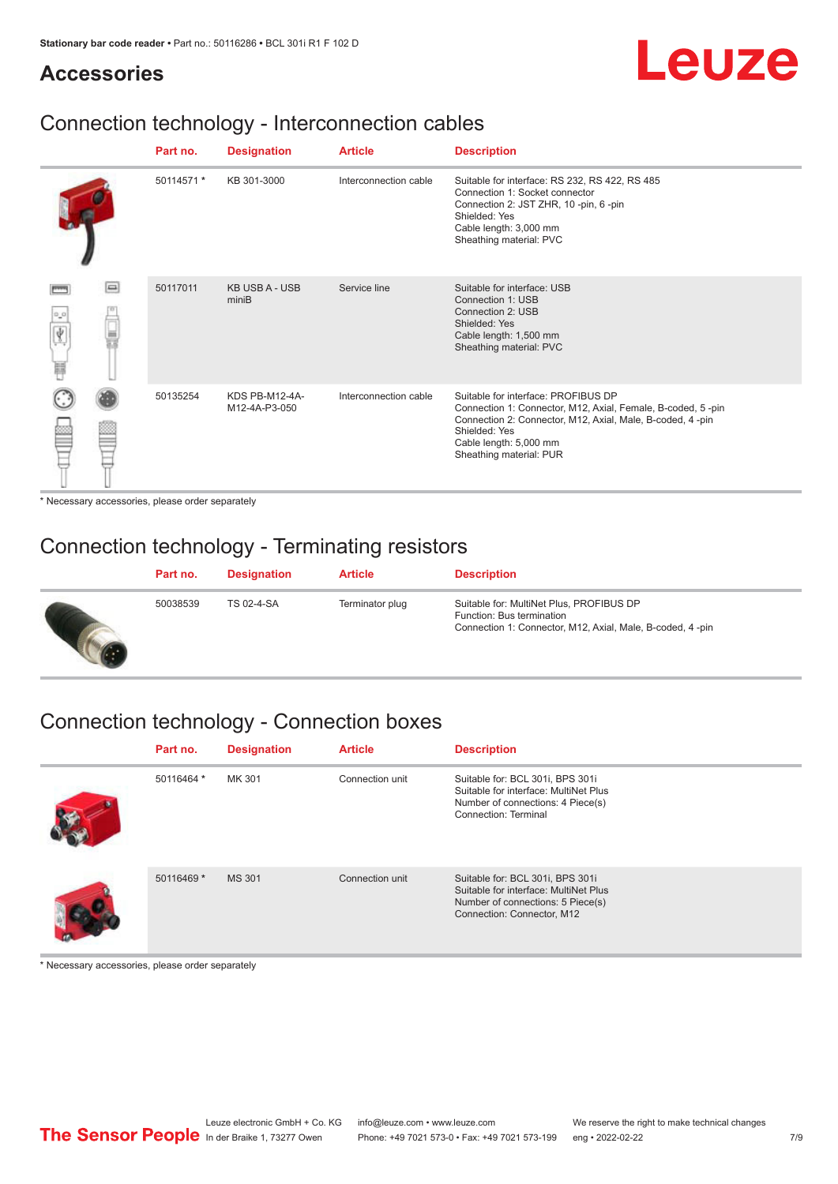# Leuze

#### **Accessories**

#### Connection technology - Interconnection cables

|                       |        | Part no.   | <b>Designation</b>              | <b>Article</b>        | <b>Description</b>                                                                                                                                                                                                                    |
|-----------------------|--------|------------|---------------------------------|-----------------------|---------------------------------------------------------------------------------------------------------------------------------------------------------------------------------------------------------------------------------------|
|                       |        | 50114571 * | KB 301-3000                     | Interconnection cable | Suitable for interface: RS 232, RS 422, RS 485<br>Connection 1: Socket connector<br>Connection 2: JST ZHR, 10 -pin, 6 -pin<br>Shielded: Yes<br>Cable length: 3,000 mm<br>Sheathing material: PVC                                      |
| $\sigma^2\sigma$<br>肩 | $\Box$ | 50117011   | <b>KB USB A - USB</b><br>miniB  | Service line          | Suitable for interface: USB<br>Connection 1: USB<br>Connection 2: USB<br>Shielded: Yes<br>Cable length: 1,500 mm<br>Sheathing material: PVC                                                                                           |
|                       |        | 50135254   | KDS PB-M12-4A-<br>M12-4A-P3-050 | Interconnection cable | Suitable for interface: PROFIBUS DP<br>Connection 1: Connector, M12, Axial, Female, B-coded, 5-pin<br>Connection 2: Connector, M12, Axial, Male, B-coded, 4-pin<br>Shielded: Yes<br>Cable length: 5,000 mm<br>Sheathing material: PUR |

\* Necessary accessories, please order separately

#### Connection technology - Terminating resistors

| Part no. | <b>Designation</b> | <b>Article</b>  | <b>Description</b>                                                                                                                 |
|----------|--------------------|-----------------|------------------------------------------------------------------------------------------------------------------------------------|
| 50038539 | TS 02-4-SA         | Terminator plug | Suitable for: MultiNet Plus, PROFIBUS DP<br>Function: Bus termination<br>Connection 1: Connector, M12, Axial, Male, B-coded, 4-pin |

## Connection technology - Connection boxes

| Part no.   | <b>Designation</b> | <b>Article</b>  | <b>Description</b>                                                                                                                           |
|------------|--------------------|-----------------|----------------------------------------------------------------------------------------------------------------------------------------------|
| 50116464 * | MK 301             | Connection unit | Suitable for: BCL 301i, BPS 301i<br>Suitable for interface: MultiNet Plus<br>Number of connections: 4 Piece(s)<br>Connection: Terminal       |
| 50116469 * | <b>MS 301</b>      | Connection unit | Suitable for: BCL 301i, BPS 301i<br>Suitable for interface: MultiNet Plus<br>Number of connections: 5 Piece(s)<br>Connection: Connector, M12 |

\* Necessary accessories, please order separately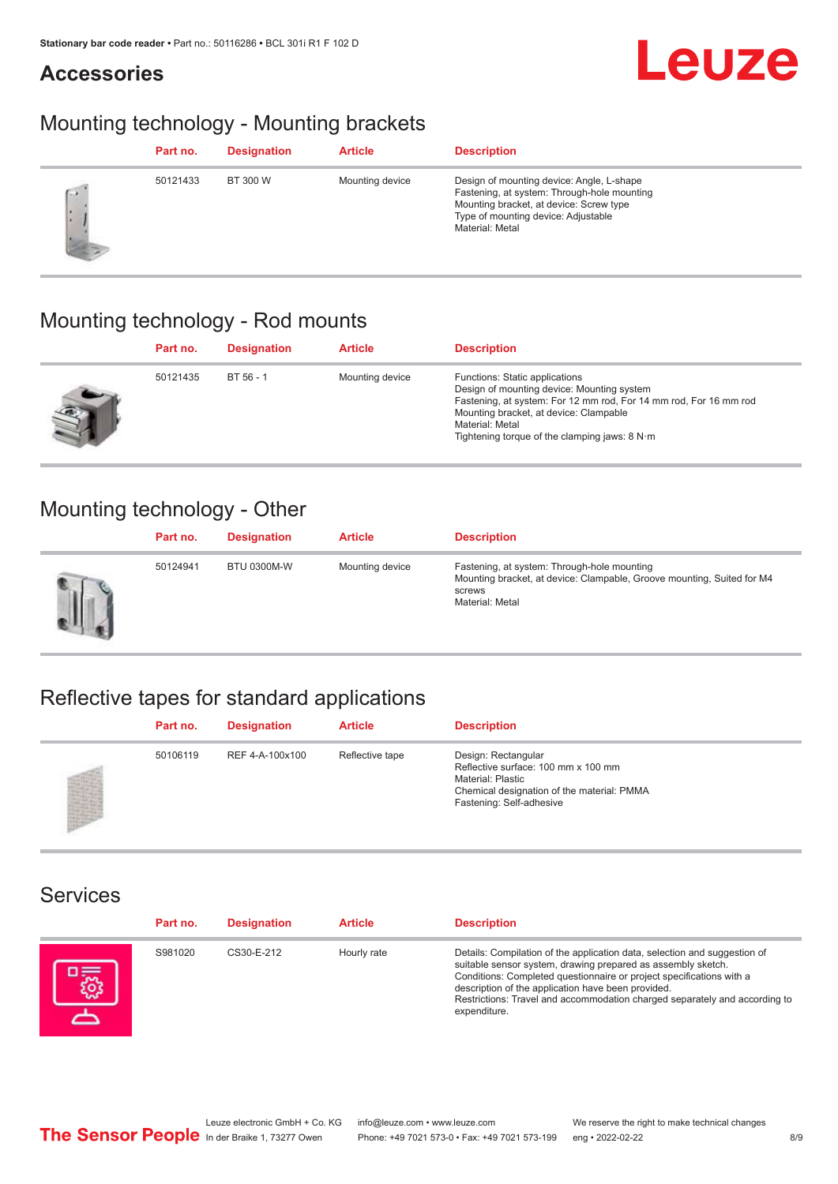## **Accessories**

## Mounting technology - Mounting brackets

|      | Part no. | <b>Designation</b> | <b>Article</b>  | <b>Description</b>                                                                                                                                                                            |
|------|----------|--------------------|-----------------|-----------------------------------------------------------------------------------------------------------------------------------------------------------------------------------------------|
| $-1$ | 50121433 | BT 300 W           | Mounting device | Design of mounting device: Angle, L-shape<br>Fastening, at system: Through-hole mounting<br>Mounting bracket, at device: Screw type<br>Type of mounting device: Adjustable<br>Material: Metal |

## Mounting technology - Rod mounts

| Part no. | <b>Designation</b> | <b>Article</b>  | <b>Description</b>                                                                                                                                                                                                                                                |
|----------|--------------------|-----------------|-------------------------------------------------------------------------------------------------------------------------------------------------------------------------------------------------------------------------------------------------------------------|
| 50121435 | BT 56 - 1          | Mounting device | Functions: Static applications<br>Design of mounting device: Mounting system<br>Fastening, at system: For 12 mm rod, For 14 mm rod, For 16 mm rod<br>Mounting bracket, at device: Clampable<br>Material: Metal<br>Tightening torque of the clamping jaws: $8 N·m$ |

#### Mounting technology - Other

|   | Part no. | <b>Designation</b> | <b>Article</b>  | <b>Description</b>                                                                                                                                 |
|---|----------|--------------------|-----------------|----------------------------------------------------------------------------------------------------------------------------------------------------|
| Ш | 50124941 | <b>BTU 0300M-W</b> | Mounting device | Fastening, at system: Through-hole mounting<br>Mounting bracket, at device: Clampable, Groove mounting, Suited for M4<br>screws<br>Material: Metal |

## Reflective tapes for standard applications

| Part no. | <b>Designation</b> | <b>Article</b>  | <b>Description</b>                                                                                                                                               |
|----------|--------------------|-----------------|------------------------------------------------------------------------------------------------------------------------------------------------------------------|
| 50106119 | REF 4-A-100x100    | Reflective tape | Design: Rectangular<br>Reflective surface: 100 mm x 100 mm<br><b>Material: Plastic</b><br>Chemical designation of the material: PMMA<br>Fastening: Self-adhesive |

#### Services

| Part no. | <b>Designation</b> | <b>Article</b> | <b>Description</b>                                                                                                                                                                                                                                                                                                                                                    |
|----------|--------------------|----------------|-----------------------------------------------------------------------------------------------------------------------------------------------------------------------------------------------------------------------------------------------------------------------------------------------------------------------------------------------------------------------|
| S981020  | CS30-E-212         | Hourly rate    | Details: Compilation of the application data, selection and suggestion of<br>suitable sensor system, drawing prepared as assembly sketch.<br>Conditions: Completed questionnaire or project specifications with a<br>description of the application have been provided.<br>Restrictions: Travel and accommodation charged separately and according to<br>expenditure. |